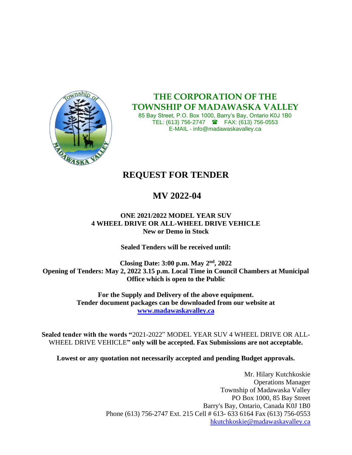

**THE CORPORATION OF THE TOWNSHIP OF MADAWASKA VALLEY**

85 Bay Street, P.O. Box 1000, Barry's Bay, Ontario K0J 1B0 TEL: (613) 756-2747 **a** FAX: (613) 756-0553 E-MAIL - info@madawaskavalley.ca

## **REQUEST FOR TENDER**

## **MV 2022-04**

#### **ONE 2021/2022 MODEL YEAR SUV 4 WHEEL DRIVE OR ALL-WHEEL DRIVE VEHICLE New or Demo in Stock**

**Sealed Tenders will be received until:**

**Closing Date: 3:00 p.m. May 2nd , 2022 Opening of Tenders: May 2, 2022 3.15 p.m. Local Time in Council Chambers at Municipal Office which is open to the Public**

> **For the Supply and Delivery of the above equipment. Tender document packages can be downloaded from our website at [www.madawaskavalley.ca](http://www.madawaskavalley.ca/)**

**Sealed tender with the words "**2021-2022" MODEL YEAR SUV 4 WHEEL DRIVE OR ALL-WHEEL DRIVE VEHICLE**" only will be accepted. Fax Submissions are not acceptable.**

**Lowest or any quotation not necessarily accepted and pending Budget approvals.**

Mr. Hilary Kutchkoskie Operations Manager Township of Madawaska Valley PO Box 1000, 85 Bay Street Barry's Bay, Ontario, Canada K0J 1B0 Phone (613) 756-2747 Ext. 215 Cell # 613- 633 6164 Fax (613) 756-0553 [hkutchkoskie@madawaskavalley.ca](mailto:hkutchkoskie@madawaskavalley.ca)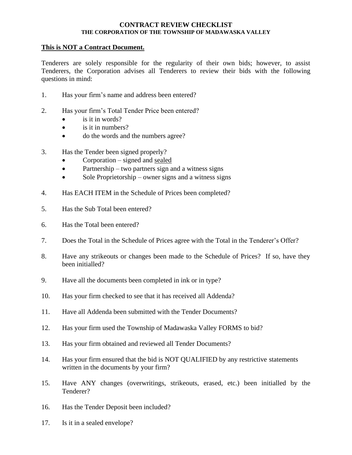#### **CONTRACT REVIEW CHECKLIST THE CORPORATION OF THE TOWNSHIP OF MADAWASKA VALLEY**

#### **This is NOT a Contract Document.**

Tenderers are solely responsible for the regularity of their own bids; however, to assist Tenderers, the Corporation advises all Tenderers to review their bids with the following questions in mind:

- 1. Has your firm's name and address been entered?
- 2. Has your firm's Total Tender Price been entered?
	- $\bullet$  is it in words?
	- $\bullet$  is it in numbers?
	- do the words and the numbers agree?
- 3. Has the Tender been signed properly?
	- $Corporation signed$  and sealed
	- Partnership two partners sign and a witness signs
	- Sole Proprietorship owner signs and a witness signs
- 4. Has EACH ITEM in the Schedule of Prices been completed?
- 5. Has the Sub Total been entered?
- 6. Has the Total been entered?
- 7. Does the Total in the Schedule of Prices agree with the Total in the Tenderer's Offer?
- 8. Have any strikeouts or changes been made to the Schedule of Prices? If so, have they been initialled?
- 9. Have all the documents been completed in ink or in type?
- 10. Has your firm checked to see that it has received all Addenda?
- 11. Have all Addenda been submitted with the Tender Documents?
- 12. Has your firm used the Township of Madawaska Valley FORMS to bid?
- 13. Has your firm obtained and reviewed all Tender Documents?
- 14. Has your firm ensured that the bid is NOT QUALIFIED by any restrictive statements written in the documents by your firm?
- 15. Have ANY changes (overwritings, strikeouts, erased, etc.) been initialled by the Tenderer?
- 16. Has the Tender Deposit been included?
- 17. Is it in a sealed envelope?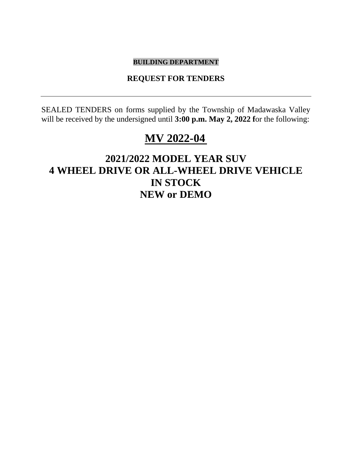#### **BUILDING DEPARTMENT**

#### **REQUEST FOR TENDERS**

SEALED TENDERS on forms supplied by the Township of Madawaska Valley will be received by the undersigned until **3:00 p.m. May 2, 2022** for the following:

## **MV 2022-04**

## **2021/2022 MODEL YEAR SUV 4 WHEEL DRIVE OR ALL-WHEEL DRIVE VEHICLE IN STOCK NEW or DEMO**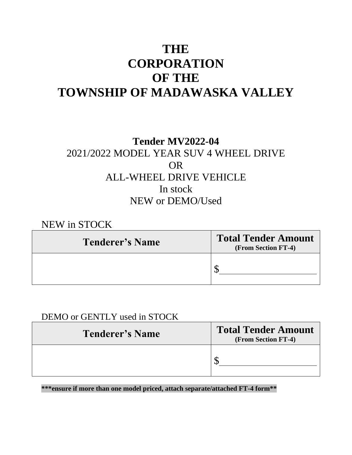## **THE CORPORATION OF THE TOWNSHIP OF MADAWASKA VALLEY**

## **Tender MV2022-04** 2021/2022 MODEL YEAR SUV 4 WHEEL DRIVE OR ALL-WHEEL DRIVE VEHICLE In stock NEW or DEMO/Used

NEW in STOCK

| <b>Tenderer's Name</b> | <b>Total Tender Amount</b><br>(From Section FT-4) |
|------------------------|---------------------------------------------------|
|                        |                                                   |

## DEMO or GENTLY used in STOCK

| <b>Tenderer's Name</b> | <b>Total Tender Amount</b><br>(From Section FT-4) |
|------------------------|---------------------------------------------------|
|                        |                                                   |

**\*\*\*ensure if more than one model priced, attach separate/attached FT-4 form\*\***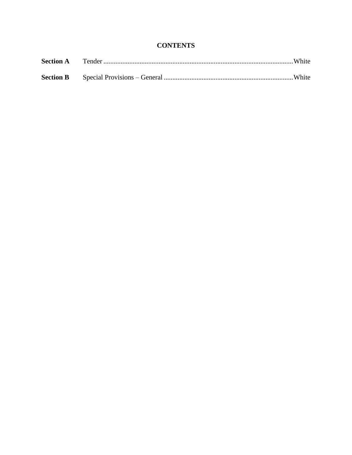#### **CONTENTS**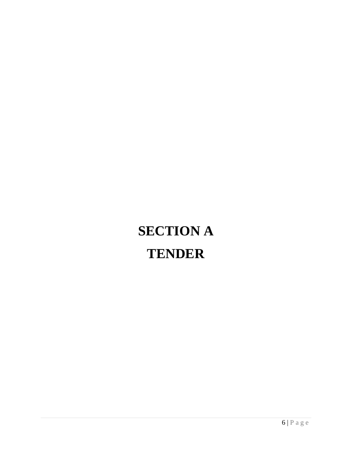# **SECTION A TENDER**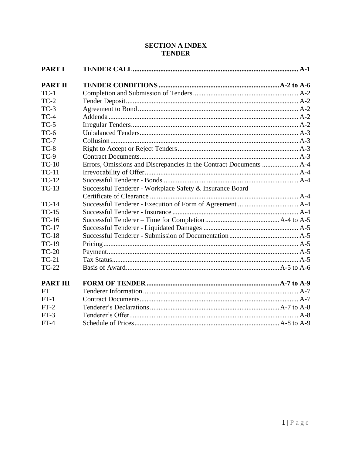#### **SECTION A INDEX TENDER**

| <b>PART I</b>   |                                                          |  |
|-----------------|----------------------------------------------------------|--|
| <b>PART II</b>  |                                                          |  |
| $TC-1$          |                                                          |  |
| $TC-2$          |                                                          |  |
| $TC-3$          |                                                          |  |
| $TC-4$          |                                                          |  |
| $TC-5$          |                                                          |  |
| $TC-6$          |                                                          |  |
| $TC-7$          |                                                          |  |
| $TC-8$          |                                                          |  |
| $TC-9$          |                                                          |  |
| $TC-10$         |                                                          |  |
| $TC-11$         |                                                          |  |
| $TC-12$         |                                                          |  |
| $TC-13$         | Successful Tenderer - Workplace Safety & Insurance Board |  |
|                 |                                                          |  |
| <b>TC-14</b>    |                                                          |  |
| $TC-15$         |                                                          |  |
| $TC-16$         |                                                          |  |
| <b>TC-17</b>    |                                                          |  |
| $TC-18$         |                                                          |  |
| <b>TC-19</b>    |                                                          |  |
| $TC-20$         |                                                          |  |
| $TC-21$         |                                                          |  |
| $TC-22$         |                                                          |  |
| <b>PART III</b> |                                                          |  |
| FT              |                                                          |  |
| $FT-1$          |                                                          |  |
| $FT-2$          |                                                          |  |
| $FT-3$          |                                                          |  |
| $FT-4$          |                                                          |  |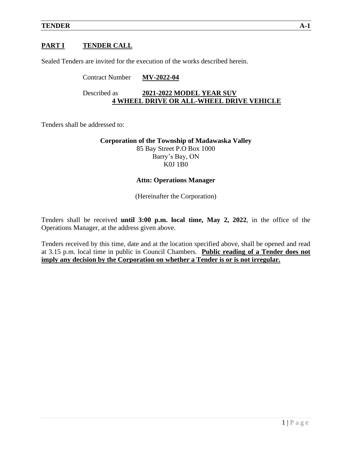#### **PART I TENDER CALL**

Sealed Tenders are invited for the execution of the works described herein.

## Contract Number **MV-2022-04** Described as **2021-2022 MODEL YEAR SUV 4 WHEEL DRIVE OR ALL-WHEEL DRIVE VEHICLE**

Tenders shall be addressed to:

**Corporation of the Township of Madawaska Valley** 85 Bay Street P.O Box 1000 Barry's Bay, ON K0J 1B0

#### **Attn: Operations Manager**

(Hereinafter the Corporation)

Tenders shall be received **until 3:00 p.m. local time, May 2, 2022**, in the office of the Operations Manager, at the address given above.

Tenders received by this time, date and at the location specified above, shall be opened and read at 3.15 p.m. local time in public in Council Chambers. **Public reading of a Tender does not imply any decision by the Corporation on whether a Tender is or is not irregular.**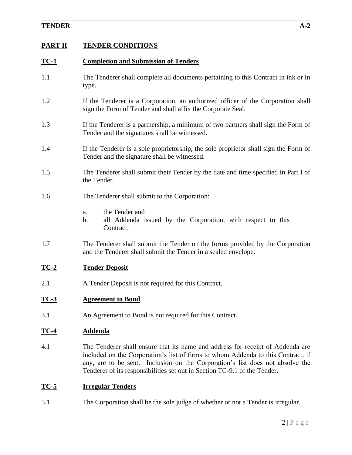#### **TENDER A-2**

#### **PART II TENDER CONDITIONS**

#### **TC-1 Completion and Submission of Tenders**

- 1.1 The Tenderer shall complete all documents pertaining to this Contract in ink or in type.
- 1.2 If the Tenderer is a Corporation, an authorized officer of the Corporation shall sign the Form of Tender and shall affix the Corporate Seal.
- 1.3 If the Tenderer is a partnership, a minimum of two partners shall sign the Form of Tender and the signatures shall be witnessed.
- 1.4 If the Tenderer is a sole proprietorship, the sole proprietor shall sign the Form of Tender and the signature shall be witnessed.
- 1.5 The Tenderer shall submit their Tender by the date and time specified in Part I of the Tender.
- 1.6 The Tenderer shall submit to the Corporation:
	- a. the Tender and
	- b. all Addenda issued by the Corporation, with respect to this Contract.
- 1.7 The Tenderer shall submit the Tender on the forms provided by the Corporation and the Tenderer shall submit the Tender in a sealed envelope.

#### **TC-2 Tender Deposit**

2.1 A Tender Deposit is not required for this Contract.

#### **TC-3 Agreement to Bond**

3.1 An Agreement to Bond is not required for this Contract.

#### **TC-4 Addenda**

4.1 The Tenderer shall ensure that its name and address for receipt of Addenda are included on the Corporation's list of firms to whom Addenda to this Contract, if any, are to be sent. Inclusion on the Corporation's list does not absolve the Tenderer of its responsibilities set out in Section TC-9.1 of the Tender.

#### **TC-5 Irregular Tenders**

5.1 The Corporation shall be the sole judge of whether or not a Tender is irregular.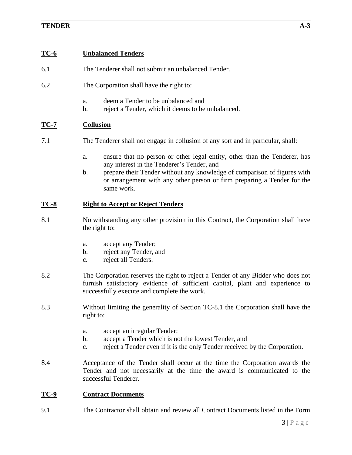#### **TC-6 Unbalanced Tenders**

- 6.1 The Tenderer shall not submit an unbalanced Tender.
- 6.2 The Corporation shall have the right to:
	- a. deem a Tender to be unbalanced and
	- b. reject a Tender, which it deems to be unbalanced.

#### **TC-7 Collusion**

- 7.1 The Tenderer shall not engage in collusion of any sort and in particular, shall:
	- a. ensure that no person or other legal entity, other than the Tenderer, has any interest in the Tenderer's Tender, and
	- b. prepare their Tender without any knowledge of comparison of figures with or arrangement with any other person or firm preparing a Tender for the same work.

#### **TC-8 Right to Accept or Reject Tenders**

- 8.1 Notwithstanding any other provision in this Contract, the Corporation shall have the right to:
	- a. accept any Tender;
	- b. reject any Tender, and
	- c. reject all Tenders.
- 8.2 The Corporation reserves the right to reject a Tender of any Bidder who does not furnish satisfactory evidence of sufficient capital, plant and experience to successfully execute and complete the work.
- 8.3 Without limiting the generality of Section TC-8.1 the Corporation shall have the right to:
	- a. accept an irregular Tender;
	- b. accept a Tender which is not the lowest Tender, and
	- c. reject a Tender even if it is the only Tender received by the Corporation.
- 8.4 Acceptance of the Tender shall occur at the time the Corporation awards the Tender and not necessarily at the time the award is communicated to the successful Tenderer.

#### **TC-9 Contract Documents**

9.1 The Contractor shall obtain and review all Contract Documents listed in the Form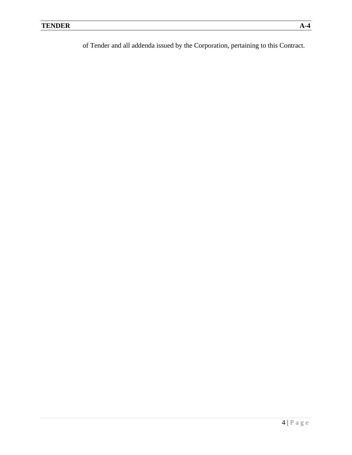of Tender and all addenda issued by the Corporation, pertaining to this Contract.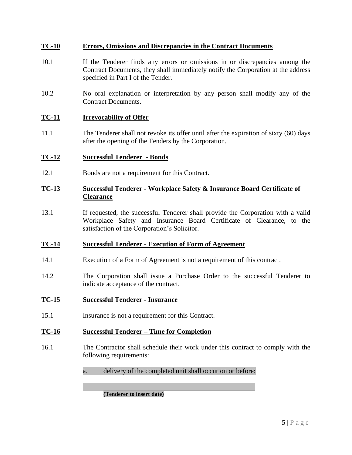#### **TC-10 Errors, Omissions and Discrepancies in the Contract Documents**

- 10.1 If the Tenderer finds any errors or omissions in or discrepancies among the Contract Documents, they shall immediately notify the Corporation at the address specified in Part I of the Tender.
- 10.2 No oral explanation or interpretation by any person shall modify any of the Contract Documents.

#### **TC-11 Irrevocability of Offer**

11.1 The Tenderer shall not revoke its offer until after the expiration of sixty (60) days after the opening of the Tenders by the Corporation.

#### **TC-12 Successful Tenderer - Bonds**

12.1 Bonds are not a requirement for this Contract.

#### **TC-13 Successful Tenderer - Workplace Safety & Insurance Board Certificate of Clearance**

13.1 If requested, the successful Tenderer shall provide the Corporation with a valid Workplace Safety and Insurance Board Certificate of Clearance, to the satisfaction of the Corporation's Solicitor.

#### **TC-14 Successful Tenderer - Execution of Form of Agreement**

- 14.1 Execution of a Form of Agreement is not a requirement of this contract.
- 14.2 The Corporation shall issue a Purchase Order to the successful Tenderer to indicate acceptance of the contract.

#### **TC-15 Successful Tenderer - Insurance**

15.1 Insurance is not a requirement for this Contract.

#### **TC-16 Successful Tenderer – Time for Completion**

- 16.1 The Contractor shall schedule their work under this contract to comply with the following requirements:
	- a. delivery of the completed unit shall occur on or before:

#### **(Tenderer to insert date)**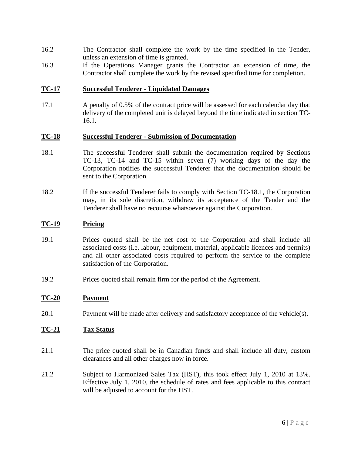- 16.2 The Contractor shall complete the work by the time specified in the Tender, unless an extension of time is granted.
- 16.3 If the Operations Manager grants the Contractor an extension of time, the Contractor shall complete the work by the revised specified time for completion.

#### **TC-17 Successful Tenderer - Liquidated Damages**

17.1 A penalty of 0.5% of the contract price will be assessed for each calendar day that delivery of the completed unit is delayed beyond the time indicated in section TC-16.1.

#### **TC-18 Successful Tenderer - Submission of Documentation**

- 18.1 The successful Tenderer shall submit the documentation required by Sections TC-13, TC-14 and TC-15 within seven (7) working days of the day the Corporation notifies the successful Tenderer that the documentation should be sent to the Corporation.
- 18.2 If the successful Tenderer fails to comply with Section TC-18.1, the Corporation may, in its sole discretion, withdraw its acceptance of the Tender and the Tenderer shall have no recourse whatsoever against the Corporation.

#### **TC-19 Pricing**

- 19.1 Prices quoted shall be the net cost to the Corporation and shall include all associated costs (i.e. labour, equipment, material, applicable licences and permits) and all other associated costs required to perform the service to the complete satisfaction of the Corporation.
- 19.2 Prices quoted shall remain firm for the period of the Agreement.

#### **TC-20 Payment**

20.1 Payment will be made after delivery and satisfactory acceptance of the vehicle(s).

#### **TC-21 Tax Status**

- 21.1 The price quoted shall be in Canadian funds and shall include all duty, custom clearances and all other charges now in force.
- 21.2 Subject to Harmonized Sales Tax (HST), this took effect July 1, 2010 at 13%. Effective July 1, 2010, the schedule of rates and fees applicable to this contract will be adjusted to account for the HST.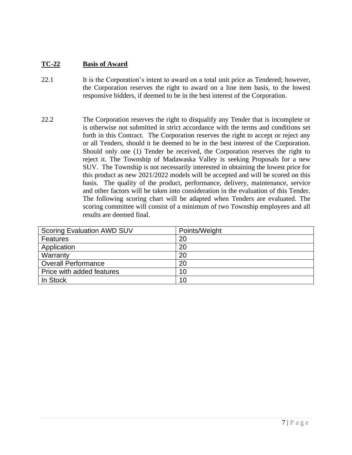#### **TC-22 Basis of Award**

- 22.1 It is the Corporation's intent to award on a total unit price as Tendered; however, the Corporation reserves the right to award on a line item basis, to the lowest responsive bidders, if deemed to be in the best interest of the Corporation.
- 22.2 The Corporation reserves the right to disqualify any Tender that is incomplete or is otherwise not submitted in strict accordance with the terms and conditions set forth in this Contract. The Corporation reserves the right to accept or reject any or all Tenders, should it be deemed to be in the best interest of the Corporation. Should only one (1) Tender be received, the Corporation reserves the right to reject it. The Township of Madawaska Valley is seeking Proposals for a new SUV. The Township is not necessarily interested in obtaining the lowest price for this product as new 2021/2022 models will be accepted and will be scored on this basis. The quality of the product, performance, delivery, maintenance, service and other factors will be taken into consideration in the evaluation of this Tender. The following scoring chart will be adapted when Tenders are evaluated. The scoring committee will consist of a minimum of two Township employees and all results are deemed final.

| <b>Scoring Evaluation AWD SUV</b> | Points/Weight |
|-----------------------------------|---------------|
| Features                          | 20            |
| Application                       | 20            |
| Warranty                          | 20            |
| <b>Overall Performance</b>        | 20            |
| Price with added features         | 10            |
| In Stock                          | 10            |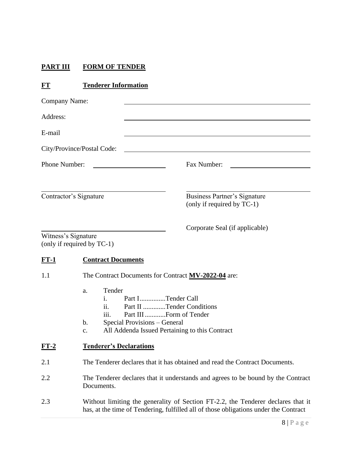### **PART III FORM OF TENDER**

### **FT Tenderer Information**

| Company Name: |                                                                                                                                                                                                               |  |
|---------------|---------------------------------------------------------------------------------------------------------------------------------------------------------------------------------------------------------------|--|
| Address:      |                                                                                                                                                                                                               |  |
| E-mail        |                                                                                                                                                                                                               |  |
|               | City/Province/Postal Code:                                                                                                                                                                                    |  |
| Phone Number: | Fax Number:                                                                                                                                                                                                   |  |
|               | Contractor's Signature<br>Business Partner's Signature<br>(only if required by TC-1)                                                                                                                          |  |
|               | Corporate Seal (if applicable)<br>Witness's Signature<br>(only if required by TC-1)                                                                                                                           |  |
| $FT-1$        | <b>Contract Documents</b>                                                                                                                                                                                     |  |
| 1.1           | The Contract Documents for Contract MV-2022-04 are:                                                                                                                                                           |  |
|               | Tender<br>a.<br>Part ITender Call<br>1.<br>ii.<br>Part II Tender Conditions<br>Part III  Form of Tender<br>111.<br>Special Provisions - General<br>b.<br>All Addenda Issued Pertaining to this Contract<br>c. |  |
| FT-2          | <b>Tenderer's Declarations</b>                                                                                                                                                                                |  |
| 2.1           | The Tenderer declares that it has obtained and read the Contract Documents.                                                                                                                                   |  |
| 2.2           | The Tenderer declares that it understands and agrees to be bound by the Contract<br>Documents.                                                                                                                |  |
| 2.3           | Without limiting the generality of Section FT-2.2, the Tenderer declares that it<br>has, at the time of Tendering, fulfilled all of those obligations under the Contract                                      |  |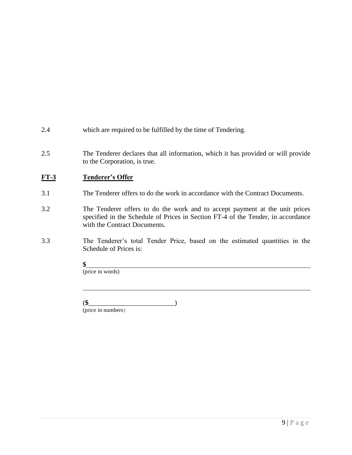- 2.4 which are required to be fulfilled by the time of Tendering.
- 2.5 The Tenderer declares that all information, which it has provided or will provide to the Corporation, is true.

#### **FT-3 Tenderer's Offer**

- 3.1 The Tenderer offers to do the work in accordance with the Contract Documents.
- 3.2 The Tenderer offers to do the work and to accept payment at the unit prices specified in the Schedule of Prices in Section FT-4 of the Tender, in accordance with the Contract Documents.
- 3.3 The Tenderer's total Tender Price, based on the estimated quantities in the Schedule of Prices is:
	- **\$**

(price in words)

(**\$**\_\_\_\_\_\_\_\_\_\_\_\_\_\_\_\_\_\_\_\_\_\_\_\_\_)

(price in numbers)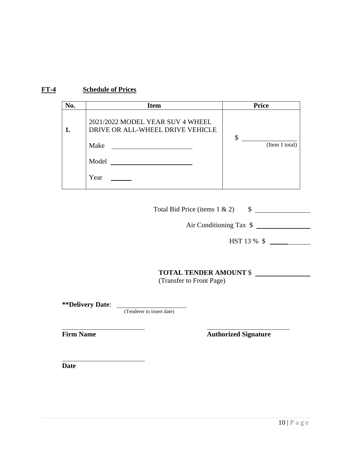#### **FT-4 Schedule of Prices**

| No. | <b>Item</b>                                                                           | <b>Price</b>         |
|-----|---------------------------------------------------------------------------------------|----------------------|
|     | 2021/2022 MODEL YEAR SUV 4 WHEEL<br>DRIVE OR ALL-WHEEL DRIVE VEHICLE<br>Make<br>Model | \$<br>(Item 1 total) |
|     | Year                                                                                  |                      |

Total Bid Price (items  $1 \& 2$ )  $\qquad \quad$  \$

Air Conditioning Tax  $\quad \overline{\hspace{1.5cm} }$ 

HST 13 % \$ \_\_\_\_\_

#### **TOTAL TENDER AMOUNT** \$

(Transfer to Front Page)

**\*\*Delivery Date**:

(Tenderer to insert date)

**Firm Name Authorized Signature** 

**Date**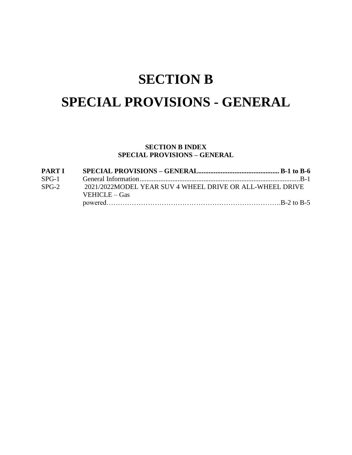## **SECTION B**

## **SPECIAL PROVISIONS - GENERAL**

#### **SECTION B INDEX SPECIAL PROVISIONS – GENERAL**

| <b>PART I</b> |                                                          |  |
|---------------|----------------------------------------------------------|--|
| $SPG-1$       |                                                          |  |
| $SPG-2$       | 2021/2022MODEL YEAR SUV 4 WHEEL DRIVE OR ALL-WHEEL DRIVE |  |
|               | <b>VEHICLE</b> – Gas                                     |  |
|               |                                                          |  |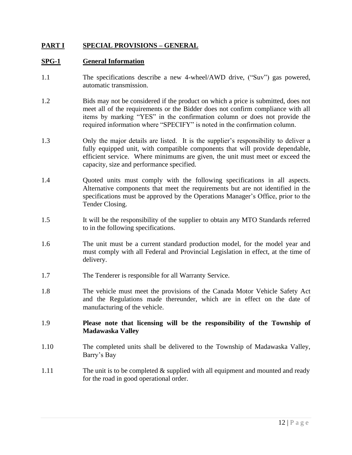#### **PART I SPECIAL PROVISIONS – GENERAL**

#### **SPG-1 General Information**

- 1.1 The specifications describe a new 4-wheel/AWD drive, ("Suv") gas powered, automatic transmission.
- 1.2 Bids may not be considered if the product on which a price is submitted, does not meet all of the requirements or the Bidder does not confirm compliance with all items by marking "YES" in the confirmation column or does not provide the required information where "SPECIFY" is noted in the confirmation column.
- 1.3 Only the major details are listed. It is the supplier's responsibility to deliver a fully equipped unit, with compatible components that will provide dependable, efficient service. Where minimums are given, the unit must meet or exceed the capacity, size and performance specified.
- 1.4 Quoted units must comply with the following specifications in all aspects. Alternative components that meet the requirements but are not identified in the specifications must be approved by the Operations Manager's Office, prior to the Tender Closing.
- 1.5 It will be the responsibility of the supplier to obtain any MTO Standards referred to in the following specifications.
- 1.6 The unit must be a current standard production model, for the model year and must comply with all Federal and Provincial Legislation in effect, at the time of delivery.
- 1.7 The Tenderer is responsible for all Warranty Service.
- 1.8 The vehicle must meet the provisions of the Canada Motor Vehicle Safety Act and the Regulations made thereunder, which are in effect on the date of manufacturing of the vehicle.
- 1.9 **Please note that licensing will be the responsibility of the Township of Madawaska Valley**
- 1.10 The completed units shall be delivered to the Township of Madawaska Valley, Barry's Bay
- 1.11 The unit is to be completed  $\&$  supplied with all equipment and mounted and ready for the road in good operational order.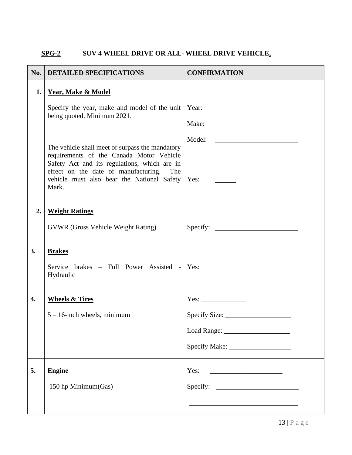### **SPG-2 SUV 4 WHEEL DRIVE OR ALL- WHEEL DRIVE VEHICLE,**

| $\bf{No.}$ | <b>DETAILED SPECIFICATIONS</b>                                                                                                          | <b>CONFIRMATION</b>                                                                                                            |
|------------|-----------------------------------------------------------------------------------------------------------------------------------------|--------------------------------------------------------------------------------------------------------------------------------|
| 1.         | <b>Year, Make &amp; Model</b>                                                                                                           |                                                                                                                                |
|            | Specify the year, make and model of the unit   Year:<br>being quoted. Minimum 2021.                                                     |                                                                                                                                |
|            |                                                                                                                                         | Make:<br><u> Alexandria de la contenta de la contenta de la contenta de la contenta de la contenta de la contenta de la c</u>  |
|            | The vehicle shall meet or surpass the mandatory                                                                                         | Model:<br><u> 1980 - Andrea Station Barbara, politik eta provincia eta provincia eta provincia eta provincia eta provincia</u> |
|            | requirements of the Canada Motor Vehicle<br>Safety Act and its regulations, which are in<br>effect on the date of manufacturing.<br>The |                                                                                                                                |
|            | vehicle must also bear the National Safety   Yes:<br>Mark.                                                                              |                                                                                                                                |
|            |                                                                                                                                         |                                                                                                                                |
| 2.         | <b>Weight Ratings</b>                                                                                                                   |                                                                                                                                |
|            | <b>GVWR</b> (Gross Vehicle Weight Rating)                                                                                               |                                                                                                                                |
| 3.         | <b>Brakes</b>                                                                                                                           |                                                                                                                                |
|            | Service brakes – Full Power Assisted - Yes:<br>Hydraulic                                                                                |                                                                                                                                |
| 4.         | <b>Wheels &amp; Tires</b>                                                                                                               |                                                                                                                                |
|            | $5 - 16$ -inch wheels, minimum                                                                                                          |                                                                                                                                |
|            |                                                                                                                                         |                                                                                                                                |
|            |                                                                                                                                         |                                                                                                                                |
| 5.         | <b>Engine</b>                                                                                                                           | Yes:                                                                                                                           |
|            | 150 hp Minimum(Gas)                                                                                                                     |                                                                                                                                |
|            |                                                                                                                                         |                                                                                                                                |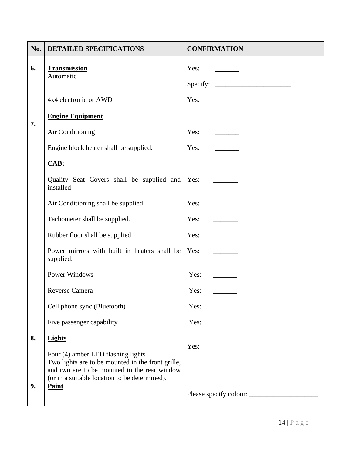| No. | <b>DETAILED SPECIFICATIONS</b>                                                                                                                                                           | <b>CONFIRMATION</b>      |
|-----|------------------------------------------------------------------------------------------------------------------------------------------------------------------------------------------|--------------------------|
| 6.  | <b>Transmission</b><br>Automatic                                                                                                                                                         | Yes:                     |
|     |                                                                                                                                                                                          | Specify: $\qquad \qquad$ |
|     | 4x4 electronic or AWD                                                                                                                                                                    | Yes:                     |
| 7.  | <b>Engine Equipment</b>                                                                                                                                                                  |                          |
|     | Air Conditioning                                                                                                                                                                         | Yes:                     |
|     | Engine block heater shall be supplied.                                                                                                                                                   | Yes:                     |
|     | $CAB$ :                                                                                                                                                                                  |                          |
|     | Quality Seat Covers shall be supplied and<br>installed                                                                                                                                   | Yes:                     |
|     | Air Conditioning shall be supplied.                                                                                                                                                      | Yes:                     |
|     | Tachometer shall be supplied.                                                                                                                                                            | Yes:                     |
|     | Rubber floor shall be supplied.                                                                                                                                                          | Yes:                     |
|     | Power mirrors with built in heaters shall be<br>supplied.                                                                                                                                | Yes:                     |
|     | Power Windows                                                                                                                                                                            | Yes:                     |
|     | <b>Reverse Camera</b>                                                                                                                                                                    | Yes:                     |
|     | Cell phone sync (Bluetooth)                                                                                                                                                              | Yes:                     |
|     | Five passenger capability                                                                                                                                                                | Yes:                     |
| 8.  | <b>Lights</b>                                                                                                                                                                            |                          |
|     | Four (4) amber LED flashing lights<br>Two lights are to be mounted in the front grille,<br>and two are to be mounted in the rear window<br>(or in a suitable location to be determined). | Yes:                     |
| 9.  | Paint                                                                                                                                                                                    |                          |
|     |                                                                                                                                                                                          |                          |